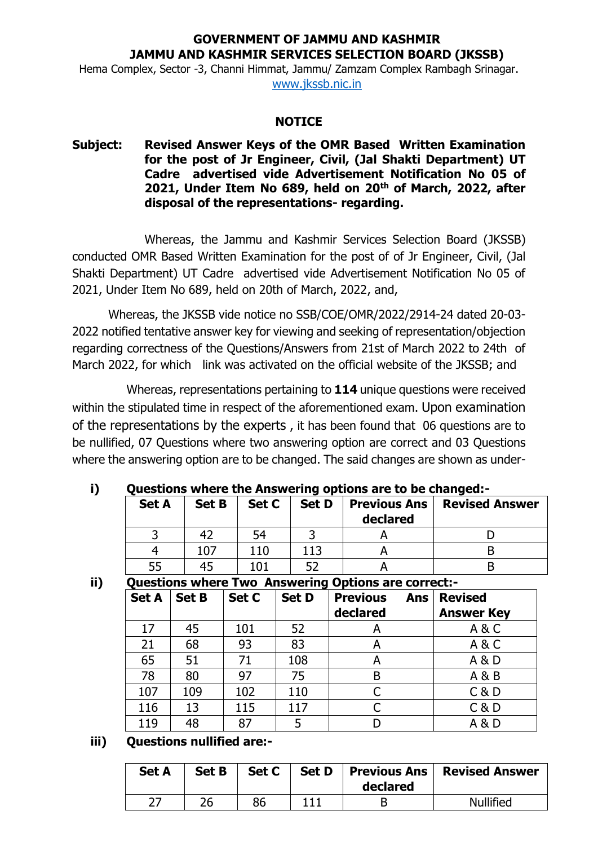## **GOVERNMENT OF JAMMU AND KASHMIR JAMMU AND KASHMIR SERVICES SELECTION BOARD (JKSSB)**

Hema Complex, Sector -3, Channi Himmat, Jammu/ Zamzam Complex Rambagh Srinagar. [www.jkssb.nic.in](http://www.jkssb.nic.in/)

#### **NOTICE**

## **Subject: Revised Answer Keys of the OMR Based Written Examination for the post of Jr Engineer, Civil, (Jal Shakti Department) UT Cadre advertised vide Advertisement Notification No 05 of 2021, Under Item No 689, held on 20th of March, 2022, after disposal of the representations- regarding.**

Whereas, the Jammu and Kashmir Services Selection Board (JKSSB) conducted OMR Based Written Examination for the post of of Jr Engineer, Civil, (Jal Shakti Department) UT Cadre advertised vide Advertisement Notification No 05 of 2021, Under Item No 689, held on 20th of March, 2022, and,

Whereas, the JKSSB vide notice no SSB/COE/OMR/2022/2914-24 dated 20-03- 2022 notified tentative answer key for viewing and seeking of representation/objection regarding correctness of the Questions/Answers from 21st of March 2022 to 24th of March 2022, for which link was activated on the official website of the JKSSB; and

Whereas, representations pertaining to **114** unique questions were received within the stipulated time in respect of the aforementioned exam. Upon examination of the representations by the experts , it has been found that 06 questions are to be nullified, 07 Questions where two answering option are correct and 03 Questions where the answering option are to be changed. The said changes are shown as under-

# **i) Questions where the Answering options are to be changed:-**

| <b>Set A</b> | <b>Set B</b> | Set C | <b>Set D</b>    | Previous Ans<br>declared | <b>Revised Answer</b> |
|--------------|--------------|-------|-----------------|--------------------------|-----------------------|
|              |              | 54    |                 |                          |                       |
|              | 107          | 110   | $\overline{13}$ |                          |                       |
| 55           |              | 1 N 1 |                 |                          |                       |

**ii) Questions where Two Answering Options are correct:-**

| <b>Set A</b> | <b>Set B</b> | Set C | <b>Set D</b> | <b>Previous</b><br><b>Ans</b><br>declared | <b>Revised</b><br><b>Answer Key</b> |
|--------------|--------------|-------|--------------|-------------------------------------------|-------------------------------------|
| 17           | 45           | 101   | 52           | A                                         | A&C                                 |
| 21           | 68           | 93    | 83           | А                                         | A&C                                 |
| 65           | 51           | 71    | 108          | A                                         | A & D                               |
| 78           | 80           | 97    | 75           | B                                         | A & B                               |
| 107          | 109          | 102   | 110          |                                           | C & D                               |
| 116          | 13           | 115   | 117          | C                                         | C & D                               |
| 119          | 48           | 87    | 5            |                                           | A & D                               |

### **iii) Questions nullified are:-**

| <b>Set A</b> | <b>Set B</b> | Set C | <b>Set D</b>   Previous Ans  <br>declared | <b>Revised Answer</b> |
|--------------|--------------|-------|-------------------------------------------|-----------------------|
|              | ገር           | 86    |                                           | <b>Nullified</b>      |